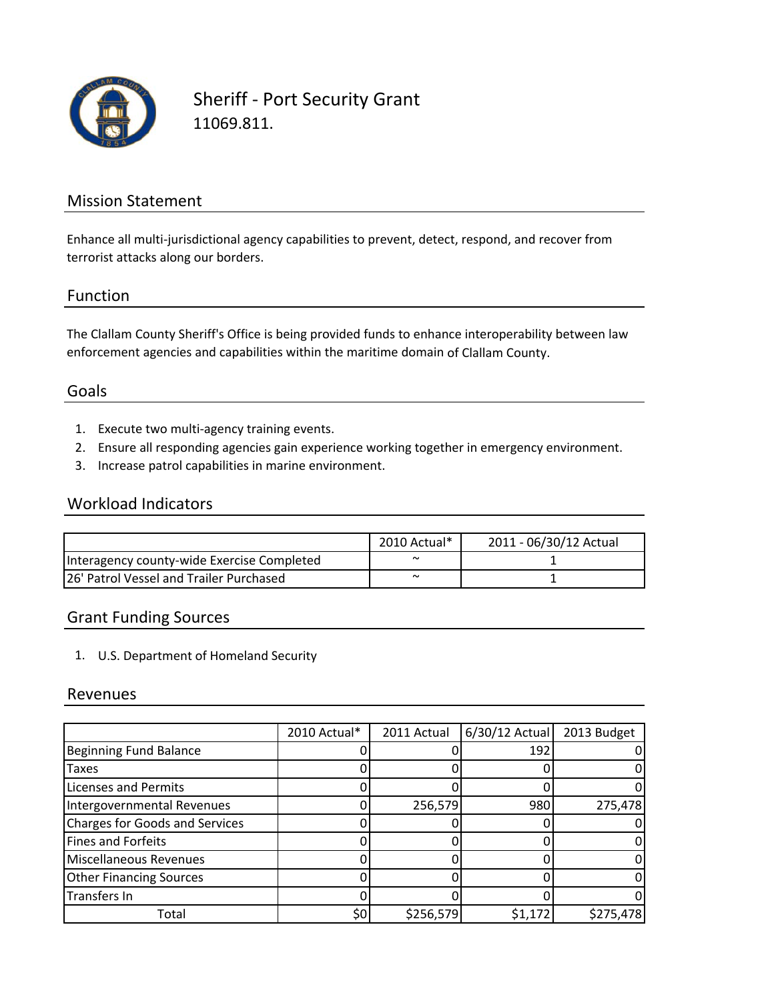

Sheriff ‐ Port Security Grant 11069.811.

### Mission Statement

Enhance all multi-jurisdictional agency capabilities to prevent, detect, respond, and recover from terrorist attacks along our borders.

#### Function

The Clallam County Sheriff's Office is being provided funds to enhance interoperability between law enforcement agencies and capabilities within the maritime domain of Clallam County.

#### Goals

- 1. Execute two multi‐agency training events.
- 2. Ensure all responding agencies gain experience working together in emergency environment.
- 3. Increase patrol capabilities in marine environment.

#### Workload Indicators

|                                            | 2010 Actual* | 2011 - 06/30/12 Actual |
|--------------------------------------------|--------------|------------------------|
| Interagency county-wide Exercise Completed | $\tilde{}$   |                        |
| 26' Patrol Vessel and Trailer Purchased    | $\tilde{ }$  |                        |

### Grant Funding Sources

1. U.S. Department of Homeland Security

#### Revenues

|                                       | 2010 Actual* | 2011 Actual | $6/30/12$ Actual | 2013 Budget |
|---------------------------------------|--------------|-------------|------------------|-------------|
| <b>Beginning Fund Balance</b>         |              |             | 192              |             |
| Taxes                                 |              |             |                  |             |
| <b>Licenses and Permits</b>           |              |             |                  |             |
| Intergovernmental Revenues            |              | 256,579     | 980              | 275,478     |
| <b>Charges for Goods and Services</b> |              |             |                  |             |
| <b>Fines and Forfeits</b>             |              |             |                  |             |
| Miscellaneous Revenues                |              |             |                  |             |
| <b>Other Financing Sources</b>        |              |             |                  |             |
| Transfers In                          |              |             |                  |             |
| Total                                 | \$0          | \$256,579   | \$1,172          | \$275,478   |